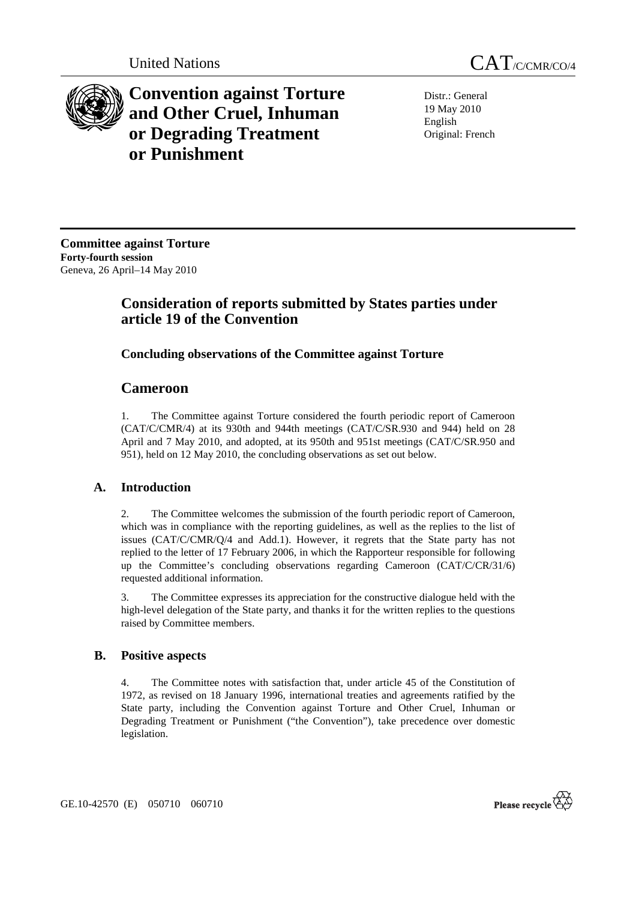



**Convention against Torture and Other Cruel, Inhuman or Degrading Treatment or Punishment**

Distr.: General 19 May 2010 English Original: French

**Committee against Torture Forty-fourth session**  Geneva, 26 April–14 May 2010

# **Consideration of reports submitted by States parties under article 19 of the Convention**

# **Concluding observations of the Committee against Torture**

# **Cameroon**

1. The Committee against Torture considered the fourth periodic report of Cameroon (CAT/C/CMR/4) at its 930th and 944th meetings (CAT/C/SR.930 and 944) held on 28 April and 7 May 2010, and adopted, at its 950th and 951st meetings (CAT/C/SR.950 and 951), held on 12 May 2010, the concluding observations as set out below.

# **A. Introduction**

2. The Committee welcomes the submission of the fourth periodic report of Cameroon, which was in compliance with the reporting guidelines, as well as the replies to the list of issues (CAT/C/CMR/Q/4 and Add.1). However, it regrets that the State party has not replied to the letter of 17 February 2006, in which the Rapporteur responsible for following up the Committee's concluding observations regarding Cameroon (CAT/C/CR/31/6) requested additional information.

3. The Committee expresses its appreciation for the constructive dialogue held with the high-level delegation of the State party, and thanks it for the written replies to the questions raised by Committee members.

# **B. Positive aspects**

4. The Committee notes with satisfaction that, under article 45 of the Constitution of 1972, as revised on 18 January 1996, international treaties and agreements ratified by the State party, including the Convention against Torture and Other Cruel, Inhuman or Degrading Treatment or Punishment ("the Convention"), take precedence over domestic legislation.

GE.10-42570 (E) 050710 060710

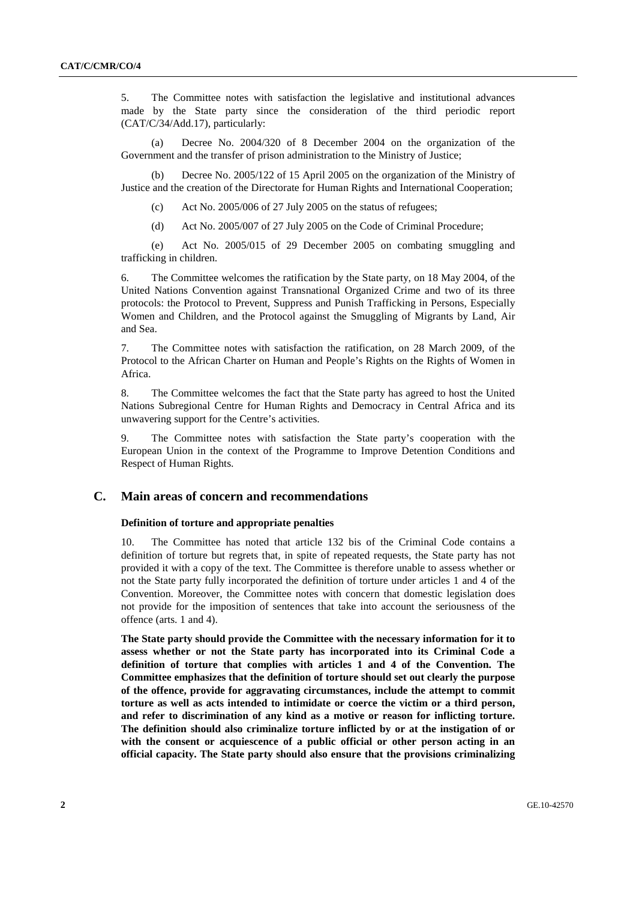5. The Committee notes with satisfaction the legislative and institutional advances made by the State party since the consideration of the third periodic report (CAT/C/34/Add.17), particularly:

 (a) Decree No. 2004/320 of 8 December 2004 on the organization of the Government and the transfer of prison administration to the Ministry of Justice;

 (b) Decree No. 2005/122 of 15 April 2005 on the organization of the Ministry of Justice and the creation of the Directorate for Human Rights and International Cooperation;

- (c) Act No.  $2005/006$  of 27 July 2005 on the status of refugees;
- (d) Act No. 2005/007 of 27 July 2005 on the Code of Criminal Procedure;

 (e) Act No. 2005/015 of 29 December 2005 on combating smuggling and trafficking in children.

6. The Committee welcomes the ratification by the State party, on 18 May 2004, of the United Nations Convention against Transnational Organized Crime and two of its three protocols: the Protocol to Prevent, Suppress and Punish Trafficking in Persons, Especially Women and Children, and the Protocol against the Smuggling of Migrants by Land, Air and Sea.

7. The Committee notes with satisfaction the ratification, on 28 March 2009, of the Protocol to the African Charter on Human and People's Rights on the Rights of Women in Africa.

8. The Committee welcomes the fact that the State party has agreed to host the United Nations Subregional Centre for Human Rights and Democracy in Central Africa and its unwavering support for the Centre's activities.

9. The Committee notes with satisfaction the State party's cooperation with the European Union in the context of the Programme to Improve Detention Conditions and Respect of Human Rights.

# **C. Main areas of concern and recommendations**

# **Definition of torture and appropriate penalties**

10. The Committee has noted that article 132 bis of the Criminal Code contains a definition of torture but regrets that, in spite of repeated requests, the State party has not provided it with a copy of the text. The Committee is therefore unable to assess whether or not the State party fully incorporated the definition of torture under articles 1 and 4 of the Convention. Moreover, the Committee notes with concern that domestic legislation does not provide for the imposition of sentences that take into account the seriousness of the offence (arts. 1 and 4).

**The State party should provide the Committee with the necessary information for it to assess whether or not the State party has incorporated into its Criminal Code a definition of torture that complies with articles 1 and 4 of the Convention. The Committee emphasizes that the definition of torture should set out clearly the purpose of the offence, provide for aggravating circumstances, include the attempt to commit torture as well as acts intended to intimidate or coerce the victim or a third person, and refer to discrimination of any kind as a motive or reason for inflicting torture. The definition should also criminalize torture inflicted by or at the instigation of or with the consent or acquiescence of a public official or other person acting in an official capacity. The State party should also ensure that the provisions criminalizing**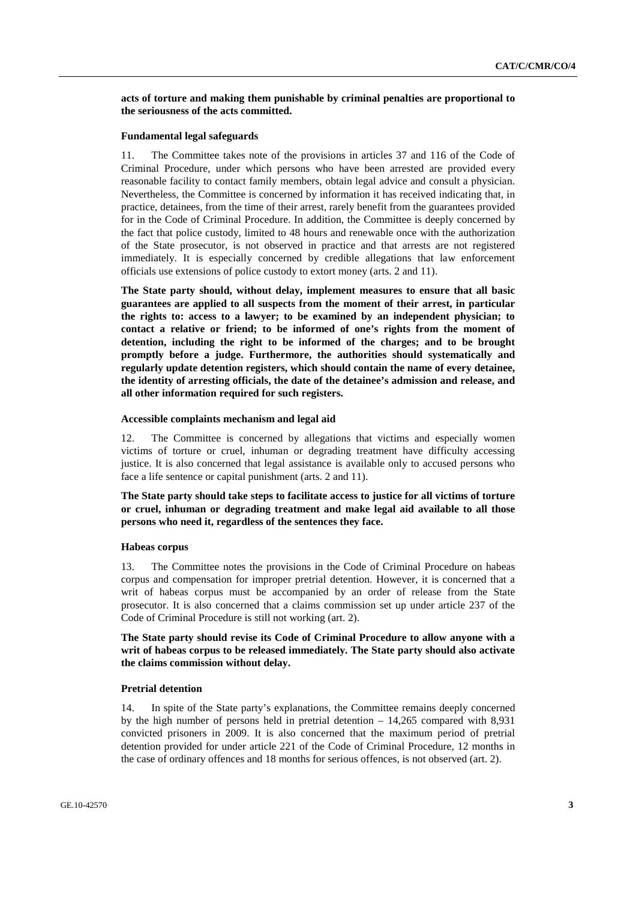**acts of torture and making them punishable by criminal penalties are proportional to the seriousness of the acts committed.** 

# **Fundamental legal safeguards**

11. The Committee takes note of the provisions in articles 37 and 116 of the Code of Criminal Procedure, under which persons who have been arrested are provided every reasonable facility to contact family members, obtain legal advice and consult a physician. Nevertheless, the Committee is concerned by information it has received indicating that, in practice, detainees, from the time of their arrest, rarely benefit from the guarantees provided for in the Code of Criminal Procedure. In addition, the Committee is deeply concerned by the fact that police custody, limited to 48 hours and renewable once with the authorization of the State prosecutor, is not observed in practice and that arrests are not registered immediately. It is especially concerned by credible allegations that law enforcement officials use extensions of police custody to extort money (arts. 2 and 11).

**The State party should, without delay, implement measures to ensure that all basic guarantees are applied to all suspects from the moment of their arrest, in particular the rights to: access to a lawyer; to be examined by an independent physician; to contact a relative or friend; to be informed of one's rights from the moment of detention, including the right to be informed of the charges; and to be brought promptly before a judge. Furthermore, the authorities should systematically and regularly update detention registers, which should contain the name of every detainee, the identity of arresting officials, the date of the detainee's admission and release, and all other information required for such registers.** 

### **Accessible complaints mechanism and legal aid**

12. The Committee is concerned by allegations that victims and especially women victims of torture or cruel, inhuman or degrading treatment have difficulty accessing justice. It is also concerned that legal assistance is available only to accused persons who face a life sentence or capital punishment (arts. 2 and 11).

**The State party should take steps to facilitate access to justice for all victims of torture or cruel, inhuman or degrading treatment and make legal aid available to all those persons who need it, regardless of the sentences they face.** 

#### **Habeas corpus**

13. The Committee notes the provisions in the Code of Criminal Procedure on habeas corpus and compensation for improper pretrial detention. However, it is concerned that a writ of habeas corpus must be accompanied by an order of release from the State prosecutor. It is also concerned that a claims commission set up under article 237 of the Code of Criminal Procedure is still not working (art. 2).

**The State party should revise its Code of Criminal Procedure to allow anyone with a writ of habeas corpus to be released immediately. The State party should also activate the claims commission without delay.** 

### **Pretrial detention**

14. In spite of the State party's explanations, the Committee remains deeply concerned by the high number of persons held in pretrial detention – 14,265 compared with 8,931 convicted prisoners in 2009. It is also concerned that the maximum period of pretrial detention provided for under article 221 of the Code of Criminal Procedure, 12 months in the case of ordinary offences and 18 months for serious offences, is not observed (art. 2).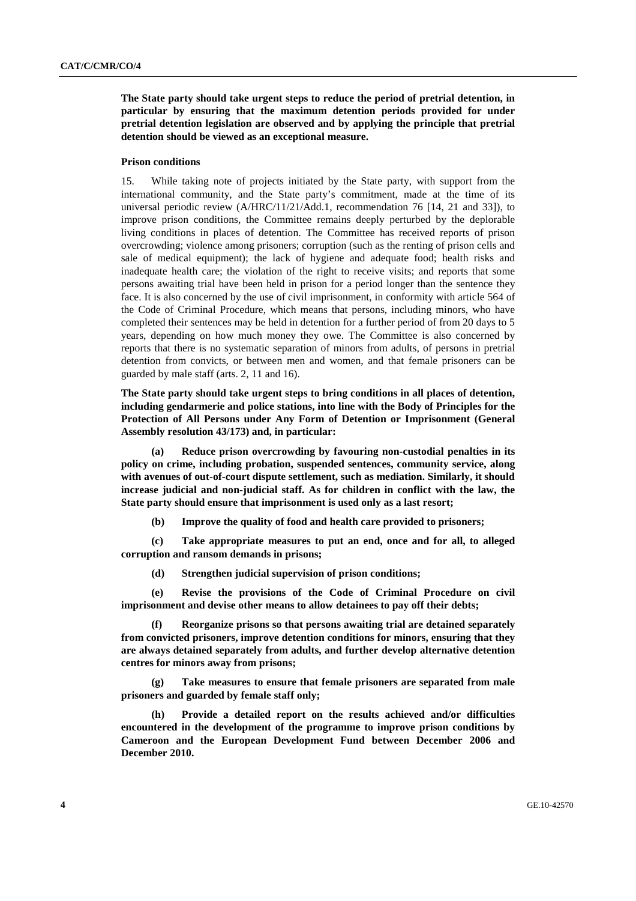**The State party should take urgent steps to reduce the period of pretrial detention, in particular by ensuring that the maximum detention periods provided for under pretrial detention legislation are observed and by applying the principle that pretrial detention should be viewed as an exceptional measure.** 

#### **Prison conditions**

15. While taking note of projects initiated by the State party, with support from the international community, and the State party's commitment, made at the time of its universal periodic review (A/HRC/11/21/Add.1, recommendation 76 [14, 21 and 33]), to improve prison conditions, the Committee remains deeply perturbed by the deplorable living conditions in places of detention. The Committee has received reports of prison overcrowding; violence among prisoners; corruption (such as the renting of prison cells and sale of medical equipment); the lack of hygiene and adequate food; health risks and inadequate health care; the violation of the right to receive visits; and reports that some persons awaiting trial have been held in prison for a period longer than the sentence they face. It is also concerned by the use of civil imprisonment, in conformity with article 564 of the Code of Criminal Procedure, which means that persons, including minors, who have completed their sentences may be held in detention for a further period of from 20 days to 5 years, depending on how much money they owe. The Committee is also concerned by reports that there is no systematic separation of minors from adults, of persons in pretrial detention from convicts, or between men and women, and that female prisoners can be guarded by male staff (arts. 2, 11 and 16).

**The State party should take urgent steps to bring conditions in all places of detention, including gendarmerie and police stations, into line with the Body of Principles for the Protection of All Persons under Any Form of Detention or Imprisonment (General Assembly resolution 43/173) and, in particular:** 

 **(a) Reduce prison overcrowding by favouring non-custodial penalties in its policy on crime, including probation, suspended sentences, community service, along with avenues of out-of-court dispute settlement, such as mediation. Similarly, it should increase judicial and non-judicial staff. As for children in conflict with the law, the State party should ensure that imprisonment is used only as a last resort;** 

 **(b) Improve the quality of food and health care provided to prisoners;** 

 **(c) Take appropriate measures to put an end, once and for all, to alleged corruption and ransom demands in prisons;** 

 **(d) Strengthen judicial supervision of prison conditions;** 

 **(e) Revise the provisions of the Code of Criminal Procedure on civil imprisonment and devise other means to allow detainees to pay off their debts;** 

 **(f) Reorganize prisons so that persons awaiting trial are detained separately from convicted prisoners, improve detention conditions for minors, ensuring that they are always detained separately from adults, and further develop alternative detention centres for minors away from prisons;** 

 **(g) Take measures to ensure that female prisoners are separated from male prisoners and guarded by female staff only;** 

 **(h) Provide a detailed report on the results achieved and/or difficulties encountered in the development of the programme to improve prison conditions by Cameroon and the European Development Fund between December 2006 and December 2010.**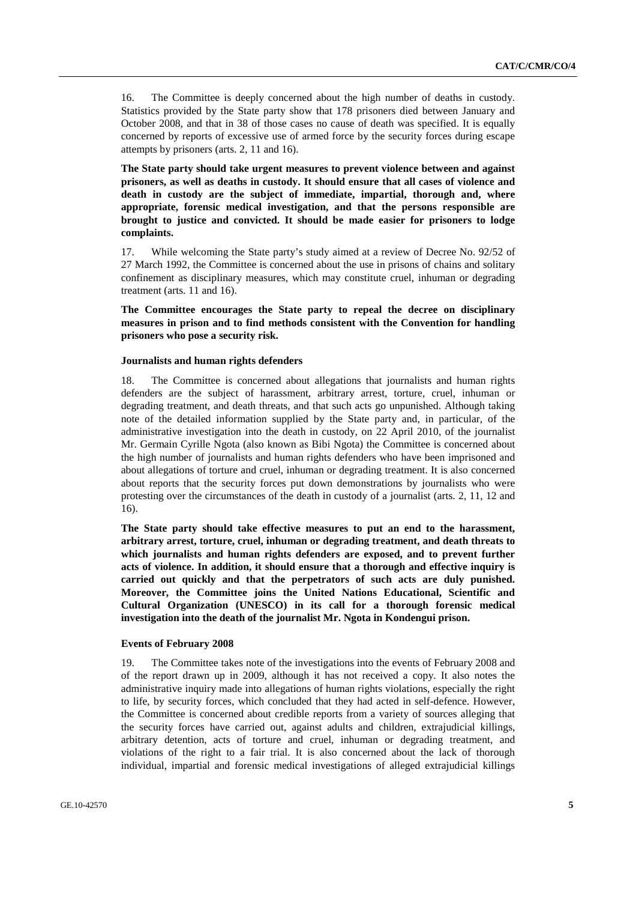16. The Committee is deeply concerned about the high number of deaths in custody. Statistics provided by the State party show that 178 prisoners died between January and October 2008, and that in 38 of those cases no cause of death was specified. It is equally concerned by reports of excessive use of armed force by the security forces during escape attempts by prisoners (arts. 2, 11 and 16).

**The State party should take urgent measures to prevent violence between and against prisoners, as well as deaths in custody. It should ensure that all cases of violence and death in custody are the subject of immediate, impartial, thorough and, where appropriate, forensic medical investigation, and that the persons responsible are brought to justice and convicted. It should be made easier for prisoners to lodge complaints.** 

17. While welcoming the State party's study aimed at a review of Decree No. 92/52 of 27 March 1992, the Committee is concerned about the use in prisons of chains and solitary confinement as disciplinary measures, which may constitute cruel, inhuman or degrading treatment (arts. 11 and 16).

**The Committee encourages the State party to repeal the decree on disciplinary measures in prison and to find methods consistent with the Convention for handling prisoners who pose a security risk.** 

### **Journalists and human rights defenders**

18. The Committee is concerned about allegations that journalists and human rights defenders are the subject of harassment, arbitrary arrest, torture, cruel, inhuman or degrading treatment, and death threats, and that such acts go unpunished. Although taking note of the detailed information supplied by the State party and, in particular, of the administrative investigation into the death in custody, on 22 April 2010, of the journalist Mr. Germain Cyrille Ngota (also known as Bibi Ngota) the Committee is concerned about the high number of journalists and human rights defenders who have been imprisoned and about allegations of torture and cruel, inhuman or degrading treatment. It is also concerned about reports that the security forces put down demonstrations by journalists who were protesting over the circumstances of the death in custody of a journalist (arts. 2, 11, 12 and 16).

**The State party should take effective measures to put an end to the harassment, arbitrary arrest, torture, cruel, inhuman or degrading treatment, and death threats to which journalists and human rights defenders are exposed, and to prevent further acts of violence. In addition, it should ensure that a thorough and effective inquiry is carried out quickly and that the perpetrators of such acts are duly punished. Moreover, the Committee joins the United Nations Educational, Scientific and Cultural Organization (UNESCO) in its call for a thorough forensic medical investigation into the death of the journalist Mr. Ngota in Kondengui prison.** 

## **Events of February 2008**

19. The Committee takes note of the investigations into the events of February 2008 and of the report drawn up in 2009, although it has not received a copy. It also notes the administrative inquiry made into allegations of human rights violations, especially the right to life, by security forces, which concluded that they had acted in self-defence. However, the Committee is concerned about credible reports from a variety of sources alleging that the security forces have carried out, against adults and children, extrajudicial killings, arbitrary detention, acts of torture and cruel, inhuman or degrading treatment, and violations of the right to a fair trial. It is also concerned about the lack of thorough individual, impartial and forensic medical investigations of alleged extrajudicial killings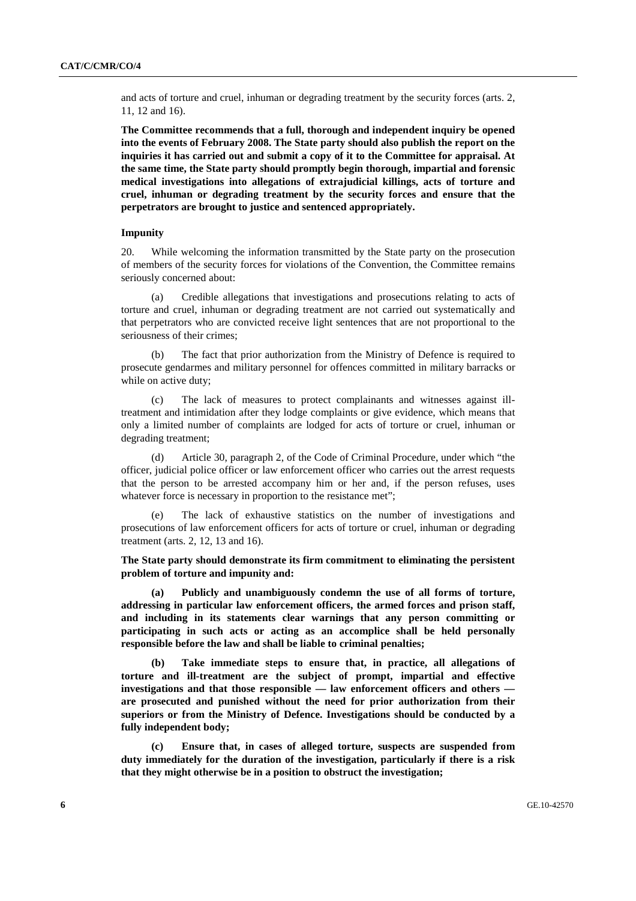and acts of torture and cruel, inhuman or degrading treatment by the security forces (arts. 2, 11, 12 and 16).

**The Committee recommends that a full, thorough and independent inquiry be opened into the events of February 2008. The State party should also publish the report on the inquiries it has carried out and submit a copy of it to the Committee for appraisal. At the same time, the State party should promptly begin thorough, impartial and forensic medical investigations into allegations of extrajudicial killings, acts of torture and cruel, inhuman or degrading treatment by the security forces and ensure that the perpetrators are brought to justice and sentenced appropriately.** 

## **Impunity**

20. While welcoming the information transmitted by the State party on the prosecution of members of the security forces for violations of the Convention, the Committee remains seriously concerned about:

 (a) Credible allegations that investigations and prosecutions relating to acts of torture and cruel, inhuman or degrading treatment are not carried out systematically and that perpetrators who are convicted receive light sentences that are not proportional to the seriousness of their crimes;

 (b) The fact that prior authorization from the Ministry of Defence is required to prosecute gendarmes and military personnel for offences committed in military barracks or while on active duty;

 (c) The lack of measures to protect complainants and witnesses against illtreatment and intimidation after they lodge complaints or give evidence, which means that only a limited number of complaints are lodged for acts of torture or cruel, inhuman or degrading treatment;

 (d) Article 30, paragraph 2, of the Code of Criminal Procedure, under which "the officer, judicial police officer or law enforcement officer who carries out the arrest requests that the person to be arrested accompany him or her and, if the person refuses, uses whatever force is necessary in proportion to the resistance met";

 (e) The lack of exhaustive statistics on the number of investigations and prosecutions of law enforcement officers for acts of torture or cruel, inhuman or degrading treatment (arts. 2, 12, 13 and 16).

**The State party should demonstrate its firm commitment to eliminating the persistent problem of torture and impunity and:** 

 **(a) Publicly and unambiguously condemn the use of all forms of torture, addressing in particular law enforcement officers, the armed forces and prison staff, and including in its statements clear warnings that any person committing or participating in such acts or acting as an accomplice shall be held personally responsible before the law and shall be liable to criminal penalties;** 

 **(b) Take immediate steps to ensure that, in practice, all allegations of torture and ill-treatment are the subject of prompt, impartial and effective investigations and that those responsible — law enforcement officers and others are prosecuted and punished without the need for prior authorization from their superiors or from the Ministry of Defence. Investigations should be conducted by a fully independent body;** 

 **(c) Ensure that, in cases of alleged torture, suspects are suspended from duty immediately for the duration of the investigation, particularly if there is a risk that they might otherwise be in a position to obstruct the investigation;**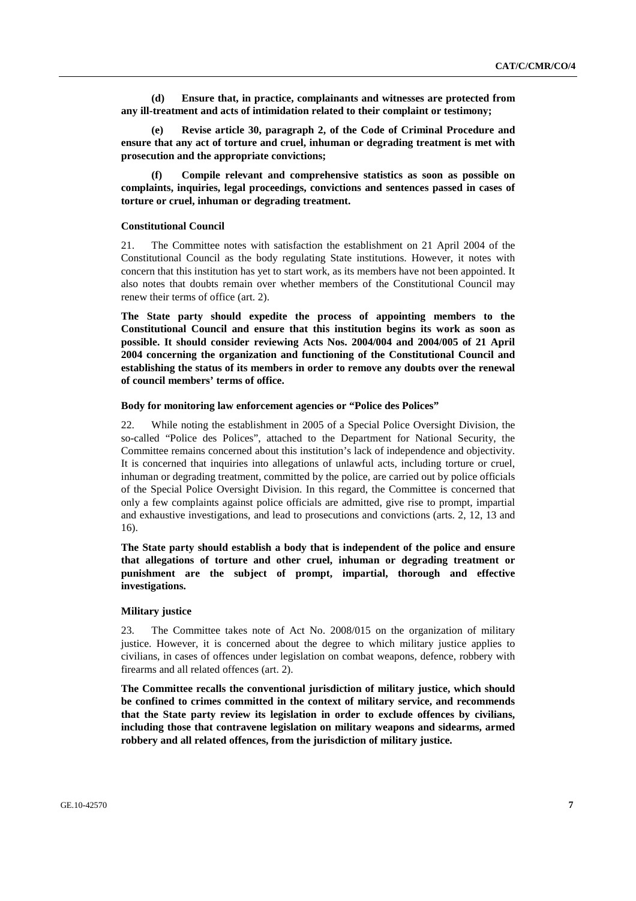**(d) Ensure that, in practice, complainants and witnesses are protected from any ill-treatment and acts of intimidation related to their complaint or testimony;** 

**Revise article 30, paragraph 2, of the Code of Criminal Procedure and ensure that any act of torture and cruel, inhuman or degrading treatment is met with prosecution and the appropriate convictions;** 

 **(f) Compile relevant and comprehensive statistics as soon as possible on complaints, inquiries, legal proceedings, convictions and sentences passed in cases of torture or cruel, inhuman or degrading treatment.**

#### **Constitutional Council**

21. The Committee notes with satisfaction the establishment on 21 April 2004 of the Constitutional Council as the body regulating State institutions. However, it notes with concern that this institution has yet to start work, as its members have not been appointed. It also notes that doubts remain over whether members of the Constitutional Council may renew their terms of office (art. 2).

**The State party should expedite the process of appointing members to the Constitutional Council and ensure that this institution begins its work as soon as possible. It should consider reviewing Acts Nos. 2004/004 and 2004/005 of 21 April 2004 concerning the organization and functioning of the Constitutional Council and establishing the status of its members in order to remove any doubts over the renewal of council members' terms of office.** 

# **Body for monitoring law enforcement agencies or "Police des Polices"**

22. While noting the establishment in 2005 of a Special Police Oversight Division, the so-called "Police des Polices", attached to the Department for National Security, the Committee remains concerned about this institution's lack of independence and objectivity. It is concerned that inquiries into allegations of unlawful acts, including torture or cruel, inhuman or degrading treatment, committed by the police, are carried out by police officials of the Special Police Oversight Division. In this regard, the Committee is concerned that only a few complaints against police officials are admitted, give rise to prompt, impartial and exhaustive investigations, and lead to prosecutions and convictions (arts. 2, 12, 13 and 16).

**The State party should establish a body that is independent of the police and ensure that allegations of torture and other cruel, inhuman or degrading treatment or punishment are the subject of prompt, impartial, thorough and effective investigations.** 

#### **Military justice**

23. The Committee takes note of Act No. 2008/015 on the organization of military justice. However, it is concerned about the degree to which military justice applies to civilians, in cases of offences under legislation on combat weapons, defence, robbery with firearms and all related offences (art. 2).

**The Committee recalls the conventional jurisdiction of military justice, which should be confined to crimes committed in the context of military service, and recommends that the State party review its legislation in order to exclude offences by civilians, including those that contravene legislation on military weapons and sidearms, armed robbery and all related offences, from the jurisdiction of military justice.**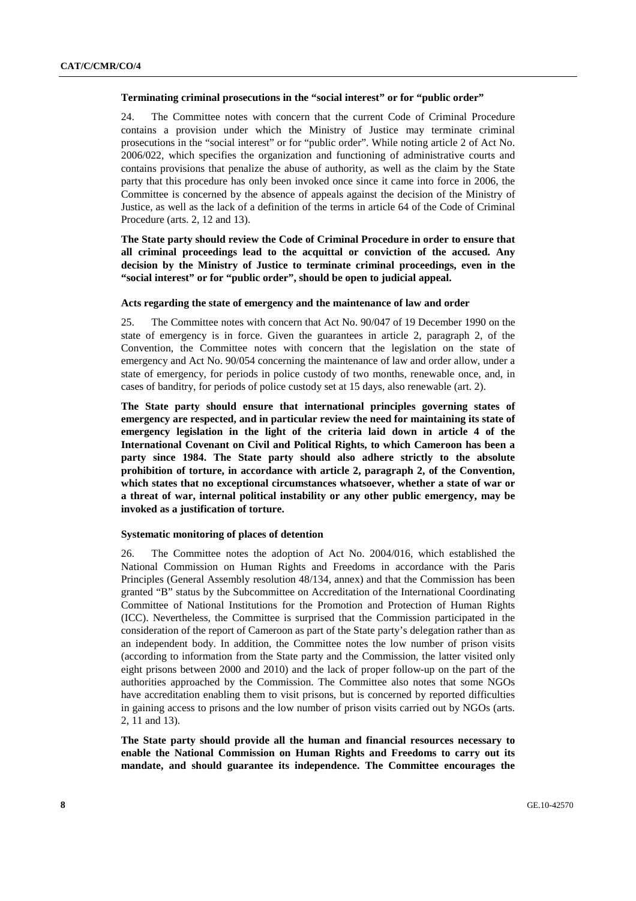### **Terminating criminal prosecutions in the "social interest" or for "public order"**

24. The Committee notes with concern that the current Code of Criminal Procedure contains a provision under which the Ministry of Justice may terminate criminal prosecutions in the "social interest" or for "public order". While noting article 2 of Act No. 2006/022, which specifies the organization and functioning of administrative courts and contains provisions that penalize the abuse of authority, as well as the claim by the State party that this procedure has only been invoked once since it came into force in 2006, the Committee is concerned by the absence of appeals against the decision of the Ministry of Justice, as well as the lack of a definition of the terms in article 64 of the Code of Criminal Procedure (arts. 2, 12 and 13).

**The State party should review the Code of Criminal Procedure in order to ensure that all criminal proceedings lead to the acquittal or conviction of the accused. Any decision by the Ministry of Justice to terminate criminal proceedings, even in the "social interest" or for "public order", should be open to judicial appeal.** 

#### **Acts regarding the state of emergency and the maintenance of law and order**

25. The Committee notes with concern that Act No. 90/047 of 19 December 1990 on the state of emergency is in force. Given the guarantees in article 2, paragraph 2, of the Convention, the Committee notes with concern that the legislation on the state of emergency and Act No. 90/054 concerning the maintenance of law and order allow, under a state of emergency, for periods in police custody of two months, renewable once, and, in cases of banditry, for periods of police custody set at 15 days, also renewable (art. 2).

**The State party should ensure that international principles governing states of emergency are respected, and in particular review the need for maintaining its state of emergency legislation in the light of the criteria laid down in article 4 of the International Covenant on Civil and Political Rights, to which Cameroon has been a party since 1984. The State party should also adhere strictly to the absolute prohibition of torture, in accordance with article 2, paragraph 2, of the Convention, which states that no exceptional circumstances whatsoever, whether a state of war or a threat of war, internal political instability or any other public emergency, may be invoked as a justification of torture.** 

#### **Systematic monitoring of places of detention**

26. The Committee notes the adoption of Act No. 2004/016, which established the National Commission on Human Rights and Freedoms in accordance with the Paris Principles (General Assembly resolution 48/134, annex) and that the Commission has been granted "B" status by the Subcommittee on Accreditation of the International Coordinating Committee of National Institutions for the Promotion and Protection of Human Rights (ICC). Nevertheless, the Committee is surprised that the Commission participated in the consideration of the report of Cameroon as part of the State party's delegation rather than as an independent body. In addition, the Committee notes the low number of prison visits (according to information from the State party and the Commission, the latter visited only eight prisons between 2000 and 2010) and the lack of proper follow-up on the part of the authorities approached by the Commission. The Committee also notes that some NGOs have accreditation enabling them to visit prisons, but is concerned by reported difficulties in gaining access to prisons and the low number of prison visits carried out by NGOs (arts. 2, 11 and 13).

**The State party should provide all the human and financial resources necessary to enable the National Commission on Human Rights and Freedoms to carry out its mandate, and should guarantee its independence. The Committee encourages the**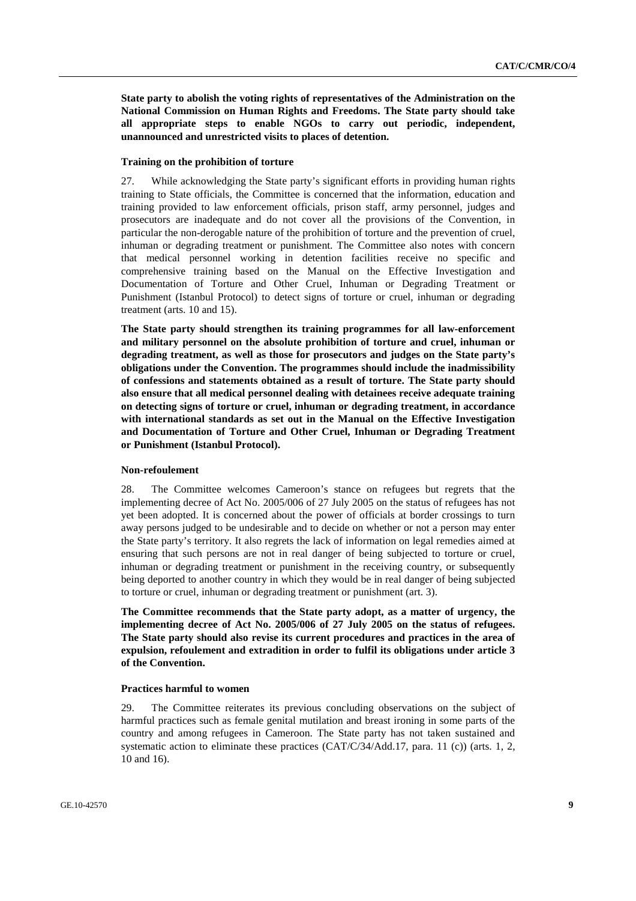**State party to abolish the voting rights of representatives of the Administration on the National Commission on Human Rights and Freedoms. The State party should take all appropriate steps to enable NGOs to carry out periodic, independent, unannounced and unrestricted visits to places of detention.** 

#### **Training on the prohibition of torture**

27. While acknowledging the State party's significant efforts in providing human rights training to State officials, the Committee is concerned that the information, education and training provided to law enforcement officials, prison staff, army personnel, judges and prosecutors are inadequate and do not cover all the provisions of the Convention, in particular the non-derogable nature of the prohibition of torture and the prevention of cruel, inhuman or degrading treatment or punishment. The Committee also notes with concern that medical personnel working in detention facilities receive no specific and comprehensive training based on the Manual on the Effective Investigation and Documentation of Torture and Other Cruel, Inhuman or Degrading Treatment or Punishment (Istanbul Protocol) to detect signs of torture or cruel, inhuman or degrading treatment (arts. 10 and 15).

**The State party should strengthen its training programmes for all law-enforcement and military personnel on the absolute prohibition of torture and cruel, inhuman or degrading treatment, as well as those for prosecutors and judges on the State party's obligations under the Convention. The programmes should include the inadmissibility of confessions and statements obtained as a result of torture. The State party should also ensure that all medical personnel dealing with detainees receive adequate training on detecting signs of torture or cruel, inhuman or degrading treatment, in accordance with international standards as set out in the Manual on the Effective Investigation and Documentation of Torture and Other Cruel, Inhuman or Degrading Treatment or Punishment (Istanbul Protocol).** 

#### **Non-refoulement**

28. The Committee welcomes Cameroon's stance on refugees but regrets that the implementing decree of Act No. 2005/006 of 27 July 2005 on the status of refugees has not yet been adopted. It is concerned about the power of officials at border crossings to turn away persons judged to be undesirable and to decide on whether or not a person may enter the State party's territory. It also regrets the lack of information on legal remedies aimed at ensuring that such persons are not in real danger of being subjected to torture or cruel, inhuman or degrading treatment or punishment in the receiving country, or subsequently being deported to another country in which they would be in real danger of being subjected to torture or cruel, inhuman or degrading treatment or punishment (art. 3).

**The Committee recommends that the State party adopt, as a matter of urgency, the implementing decree of Act No. 2005/006 of 27 July 2005 on the status of refugees. The State party should also revise its current procedures and practices in the area of expulsion, refoulement and extradition in order to fulfil its obligations under article 3 of the Convention.** 

# **Practices harmful to women**

29. The Committee reiterates its previous concluding observations on the subject of harmful practices such as female genital mutilation and breast ironing in some parts of the country and among refugees in Cameroon. The State party has not taken sustained and systematic action to eliminate these practices (CAT/C/34/Add.17, para. 11 (c)) (arts. 1, 2, 10 and 16).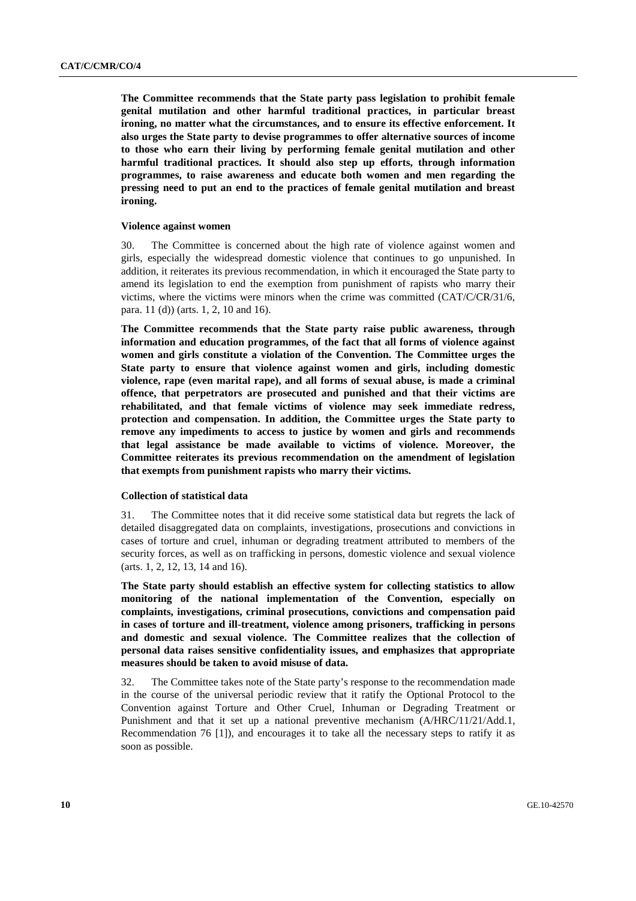**The Committee recommends that the State party pass legislation to prohibit female genital mutilation and other harmful traditional practices, in particular breast ironing, no matter what the circumstances, and to ensure its effective enforcement. It also urges the State party to devise programmes to offer alternative sources of income to those who earn their living by performing female genital mutilation and other harmful traditional practices. It should also step up efforts, through information programmes, to raise awareness and educate both women and men regarding the pressing need to put an end to the practices of female genital mutilation and breast ironing.** 

## **Violence against women**

30. The Committee is concerned about the high rate of violence against women and girls, especially the widespread domestic violence that continues to go unpunished. In addition, it reiterates its previous recommendation, in which it encouraged the State party to amend its legislation to end the exemption from punishment of rapists who marry their victims, where the victims were minors when the crime was committed (CAT/C/CR/31/6, para. 11 (d)) (arts. 1, 2, 10 and 16).

**The Committee recommends that the State party raise public awareness, through information and education programmes, of the fact that all forms of violence against women and girls constitute a violation of the Convention. The Committee urges the State party to ensure that violence against women and girls, including domestic violence, rape (even marital rape), and all forms of sexual abuse, is made a criminal offence, that perpetrators are prosecuted and punished and that their victims are rehabilitated, and that female victims of violence may seek immediate redress, protection and compensation. In addition, the Committee urges the State party to remove any impediments to access to justice by women and girls and recommends that legal assistance be made available to victims of violence. Moreover, the Committee reiterates its previous recommendation on the amendment of legislation that exempts from punishment rapists who marry their victims.** 

# **Collection of statistical data**

31. The Committee notes that it did receive some statistical data but regrets the lack of detailed disaggregated data on complaints, investigations, prosecutions and convictions in cases of torture and cruel, inhuman or degrading treatment attributed to members of the security forces, as well as on trafficking in persons, domestic violence and sexual violence (arts. 1, 2, 12, 13, 14 and 16).

**The State party should establish an effective system for collecting statistics to allow monitoring of the national implementation of the Convention, especially on complaints, investigations, criminal prosecutions, convictions and compensation paid in cases of torture and ill-treatment, violence among prisoners, trafficking in persons and domestic and sexual violence. The Committee realizes that the collection of personal data raises sensitive confidentiality issues, and emphasizes that appropriate measures should be taken to avoid misuse of data.** 

32. The Committee takes note of the State party's response to the recommendation made in the course of the universal periodic review that it ratify the Optional Protocol to the Convention against Torture and Other Cruel, Inhuman or Degrading Treatment or Punishment and that it set up a national preventive mechanism (A/HRC/11/21/Add.1, Recommendation 76 [1]), and encourages it to take all the necessary steps to ratify it as soon as possible.